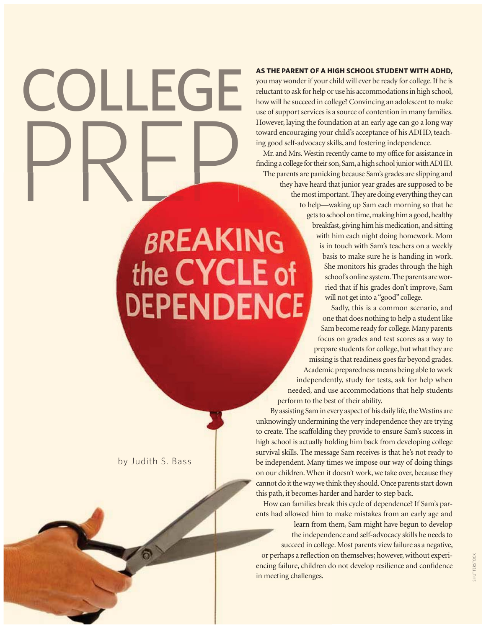## COLLEGE SPF<br>PRF COLLEGE use of support services is<br>
However, laying the found toward encouraging your<br>
toward encouraging your<br>
toward encouraging your<br>
mg good self-advocacy sk<br>
Mr. and Mrs. Westin re<br>
finding a college for their sc<br>
The parents

## **AS THE PARENT OF A HIGH SCHOOL STUDENT WITH ADHD,**

you may wonder if your child will ever be ready for college. If he is reluctant to ask for help or use his accommodations in high school, how will he succeed in college? Convincing an adolescent to make use of support services is a source of contention in many families. However, laying the foundation at an early age can go a long way toward encouraging your child's acceptance of his ADHD, teaching good self-advocacy skills, and fostering independence.

Mr. and Mrs. Westin recently came to my office for assistance in finding a college for their son, Sam, a high school junior with ADHD. The parents are panicking because Sam's grades are slipping and they have heard that junior year grades are supposed to be the most important. They are doing everything they can to help—waking up Sam each morning so that he help—w gets to school on time, making him a good, healthy breakfast, giving him his medication, and sitting breakfa **BREAKING** with him each night doing homework. Mom is in touch with Sam's teachers on a weekly basis to make sure he is handing in work. bas the CYCLE of She monitors his grades through the high Sh school's online system. The parents are wor-sch ried that if his grades don't improve, Sam **DEPENDENCE** will not get into a "good" college. wi

Sadly, this is a common scenario, and S one that does nothing to help a student like Sam become ready for college. Many parents Sam focus on grades and test scores as a way to focus prepare students for college, but what they are prepar missing is that readiness goes far beyond grades. missing Academic preparedness means being able to work Academic independently, study for tests, ask for help when needed, and use accommodations that help students perform to the best of their ability.

By assisting Sam in every aspect of his daily life, the Westins are unknowingly undermining the very independence they are trying to create. The scaffolding they provide to ensure Sam's success in high school is actually holding him back from developing college survival skills. The message Sam receives is that he's not ready to be independent. Many times we impose our way of doing things on our children. When it doesn't work, we take over, because they cannot do it the way we think they should. Once parents start down this path, it becomes harder and harder to step back.

How can families break this cycle of dependence? If Sam's parents had allowed him to make mistakes from an early age and learn from them, Sam might have begun to develop the independence and self-advocacy skills he needs to succeed in college. Most parents view failure as a negative, or perhaps a reflection on themselves; however, without experiencing failure, children do not develop resilience and confidence in meeting challenges.

by Judith S. Bass